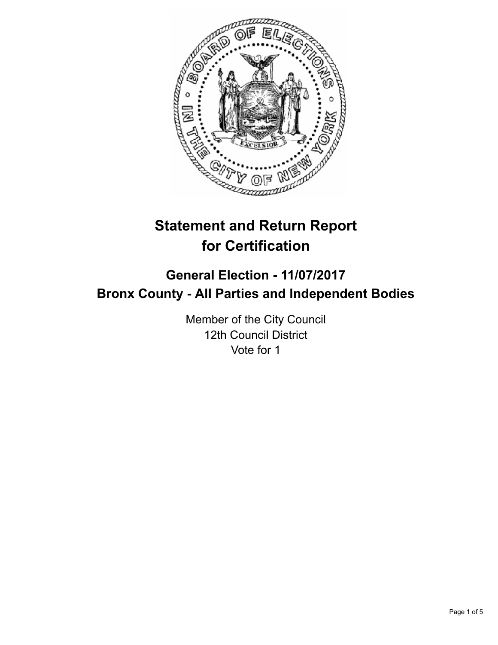

# **Statement and Return Report for Certification**

## **General Election - 11/07/2017 Bronx County - All Parties and Independent Bodies**

Member of the City Council 12th Council District Vote for 1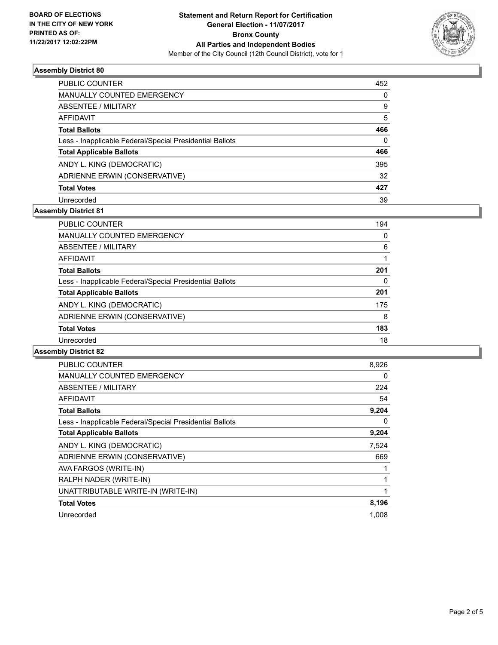

#### **Assembly District 80**

| <b>PUBLIC COUNTER</b>                                    | 452      |
|----------------------------------------------------------|----------|
| <b>MANUALLY COUNTED EMERGENCY</b>                        | 0        |
| ABSENTEE / MILITARY                                      | 9        |
| AFFIDAVIT                                                | 5        |
| <b>Total Ballots</b>                                     | 466      |
| Less - Inapplicable Federal/Special Presidential Ballots | $\Omega$ |
| <b>Total Applicable Ballots</b>                          | 466      |
| ANDY L. KING (DEMOCRATIC)                                | 395      |
| ADRIENNE ERWIN (CONSERVATIVE)                            | 32       |
| <b>Total Votes</b>                                       | 427      |
| Unrecorded                                               | 39       |

## **Assembly District 81**

| <b>PUBLIC COUNTER</b>                                    | 194      |
|----------------------------------------------------------|----------|
| <b>MANUALLY COUNTED EMERGENCY</b>                        | 0        |
| ABSENTEE / MILITARY                                      | 6        |
| AFFIDAVIT                                                |          |
| <b>Total Ballots</b>                                     | 201      |
| Less - Inapplicable Federal/Special Presidential Ballots | $\Omega$ |
| <b>Total Applicable Ballots</b>                          | 201      |
| ANDY L. KING (DEMOCRATIC)                                | 175      |
| ADRIENNE ERWIN (CONSERVATIVE)                            | 8        |
| <b>Total Votes</b>                                       | 183      |
| Unrecorded                                               | 18       |
|                                                          |          |

#### **Assembly District 82**

| PUBLIC COUNTER                                           | 8,926 |
|----------------------------------------------------------|-------|
| <b>MANUALLY COUNTED EMERGENCY</b>                        | 0     |
| ABSENTEE / MILITARY                                      | 224   |
| <b>AFFIDAVIT</b>                                         | 54    |
| <b>Total Ballots</b>                                     | 9,204 |
| Less - Inapplicable Federal/Special Presidential Ballots | 0     |
| <b>Total Applicable Ballots</b>                          | 9,204 |
| ANDY L. KING (DEMOCRATIC)                                | 7,524 |
| ADRIENNE ERWIN (CONSERVATIVE)                            | 669   |
| AVA FARGOS (WRITE-IN)                                    | 1     |
| RALPH NADER (WRITE-IN)                                   |       |
| UNATTRIBUTABLE WRITE-IN (WRITE-IN)                       | 1     |
| <b>Total Votes</b>                                       | 8,196 |
| Unrecorded                                               | 1,008 |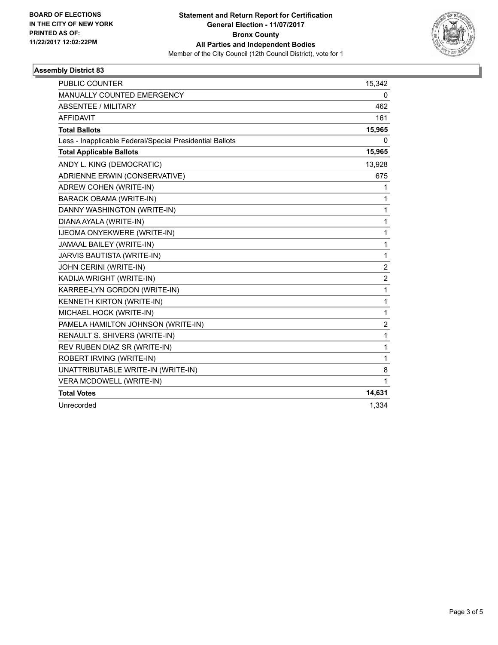

### **Assembly District 83**

| <b>PUBLIC COUNTER</b>                                    | 15,342         |
|----------------------------------------------------------|----------------|
| MANUALLY COUNTED EMERGENCY                               | 0              |
| <b>ABSENTEE / MILITARY</b>                               | 462            |
| <b>AFFIDAVIT</b>                                         | 161            |
| <b>Total Ballots</b>                                     | 15,965         |
| Less - Inapplicable Federal/Special Presidential Ballots | 0              |
| <b>Total Applicable Ballots</b>                          | 15,965         |
| ANDY L. KING (DEMOCRATIC)                                | 13,928         |
| ADRIENNE ERWIN (CONSERVATIVE)                            | 675            |
| ADREW COHEN (WRITE-IN)                                   | 1              |
| BARACK OBAMA (WRITE-IN)                                  | 1              |
| DANNY WASHINGTON (WRITE-IN)                              | 1              |
| DIANA AYALA (WRITE-IN)                                   | 1              |
| IJEOMA ONYEKWERE (WRITE-IN)                              | 1              |
| JAMAAL BAILEY (WRITE-IN)                                 | 1              |
| JARVIS BAUTISTA (WRITE-IN)                               | 1              |
| JOHN CERINI (WRITE-IN)                                   | $\overline{2}$ |
| KADIJA WRIGHT (WRITE-IN)                                 | 2              |
| KARREE-LYN GORDON (WRITE-IN)                             | 1              |
| <b>KENNETH KIRTON (WRITE-IN)</b>                         | 1              |
| MICHAEL HOCK (WRITE-IN)                                  | 1              |
| PAMELA HAMILTON JOHNSON (WRITE-IN)                       | $\overline{2}$ |
| RENAULT S. SHIVERS (WRITE-IN)                            | 1              |
| REV RUBEN DIAZ SR (WRITE-IN)                             | 1              |
| ROBERT IRVING (WRITE-IN)                                 | 1              |
| UNATTRIBUTABLE WRITE-IN (WRITE-IN)                       | 8              |
| VERA MCDOWELL (WRITE-IN)                                 | 1              |
| <b>Total Votes</b>                                       | 14,631         |
| Unrecorded                                               | 1,334          |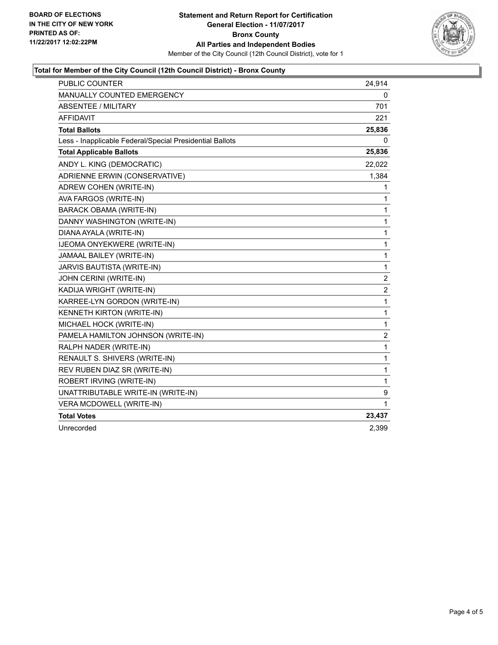

### **Total for Member of the City Council (12th Council District) - Bronx County**

| PUBLIC COUNTER                                           | 24,914         |
|----------------------------------------------------------|----------------|
| <b>MANUALLY COUNTED EMERGENCY</b>                        | 0              |
| <b>ABSENTEE / MILITARY</b>                               | 701            |
| <b>AFFIDAVIT</b>                                         | 221            |
| <b>Total Ballots</b>                                     | 25,836         |
| Less - Inapplicable Federal/Special Presidential Ballots | 0              |
| <b>Total Applicable Ballots</b>                          | 25,836         |
| ANDY L. KING (DEMOCRATIC)                                | 22,022         |
| ADRIENNE ERWIN (CONSERVATIVE)                            | 1,384          |
| ADREW COHEN (WRITE-IN)                                   | 1              |
| AVA FARGOS (WRITE-IN)                                    | 1              |
| BARACK OBAMA (WRITE-IN)                                  | 1              |
| DANNY WASHINGTON (WRITE-IN)                              | 1              |
| DIANA AYALA (WRITE-IN)                                   | $\mathbf{1}$   |
| IJEOMA ONYEKWERE (WRITE-IN)                              | 1              |
| JAMAAL BAILEY (WRITE-IN)                                 | 1              |
| JARVIS BAUTISTA (WRITE-IN)                               | 1              |
| JOHN CERINI (WRITE-IN)                                   | 2              |
| KADIJA WRIGHT (WRITE-IN)                                 | $\overline{2}$ |
| KARREE-LYN GORDON (WRITE-IN)                             | 1              |
| <b>KENNETH KIRTON (WRITE-IN)</b>                         | $\mathbf{1}$   |
| MICHAEL HOCK (WRITE-IN)                                  | 1              |
| PAMELA HAMILTON JOHNSON (WRITE-IN)                       | $\overline{2}$ |
| RALPH NADER (WRITE-IN)                                   | 1              |
| RENAULT S. SHIVERS (WRITE-IN)                            | 1              |
| REV RUBEN DIAZ SR (WRITE-IN)                             | 1              |
| ROBERT IRVING (WRITE-IN)                                 | 1              |
| UNATTRIBUTABLE WRITE-IN (WRITE-IN)                       | 9              |
| VERA MCDOWELL (WRITE-IN)                                 | 1              |
| <b>Total Votes</b>                                       | 23,437         |
| Unrecorded                                               | 2,399          |